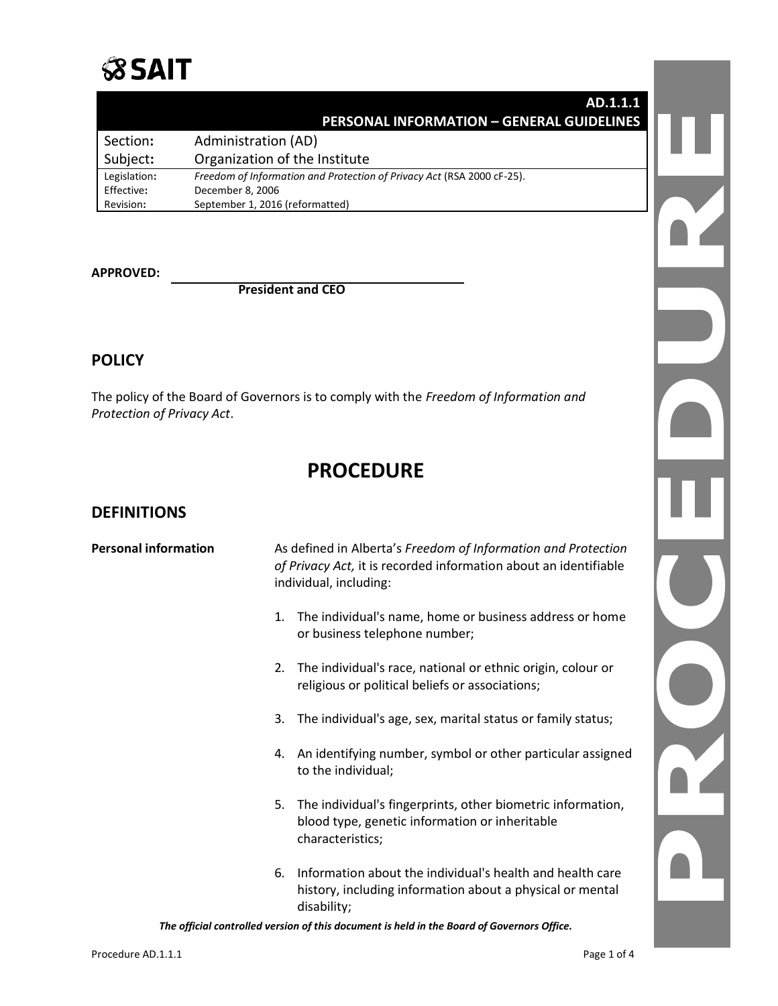

#### **AD.1.1.1 PERSONAL INFORMATION – GENERAL GUIDELINES**

| Section:     | Administration (AD)                                                    |
|--------------|------------------------------------------------------------------------|
| Subject:     | Organization of the Institute                                          |
| Legislation: | Freedom of Information and Protection of Privacy Act (RSA 2000 cF-25). |
| Effective:   | December 8, 2006                                                       |
| Revision:    | September 1, 2016 (reformatted)                                        |

**APPROVED:**

**President and CEO**

## **POLICY**

The policy of the Board of Governors is to comply with the *Freedom of Information and Protection of Privacy Act*.

# **PROCEDURE**

### **DEFINITIONS**

| <b>Personal information</b> | As defined in Alberta's Freedom of Information and Protection<br>of Privacy Act, it is recorded information about an identifiable<br>individual, including: |  |
|-----------------------------|-------------------------------------------------------------------------------------------------------------------------------------------------------------|--|
|                             | The individual's name, home or business address or home<br>1.<br>or business telephone number;                                                              |  |
|                             | The individual's race, national or ethnic origin, colour or<br>2.<br>religious or political beliefs or associations;                                        |  |
|                             | The individual's age, sex, marital status or family status;<br>3.                                                                                           |  |
|                             | An identifying number, symbol or other particular assigned<br>4.<br>to the individual;                                                                      |  |
|                             | The individual's fingerprints, other biometric information,<br>5.<br>blood type, genetic information or inheritable<br>characteristics;                     |  |
|                             | Information about the individual's health and health care<br>6.<br>history, including information about a physical or mental<br>disability;                 |  |

*The official controlled version of this document is held in the Board of Governors Office.*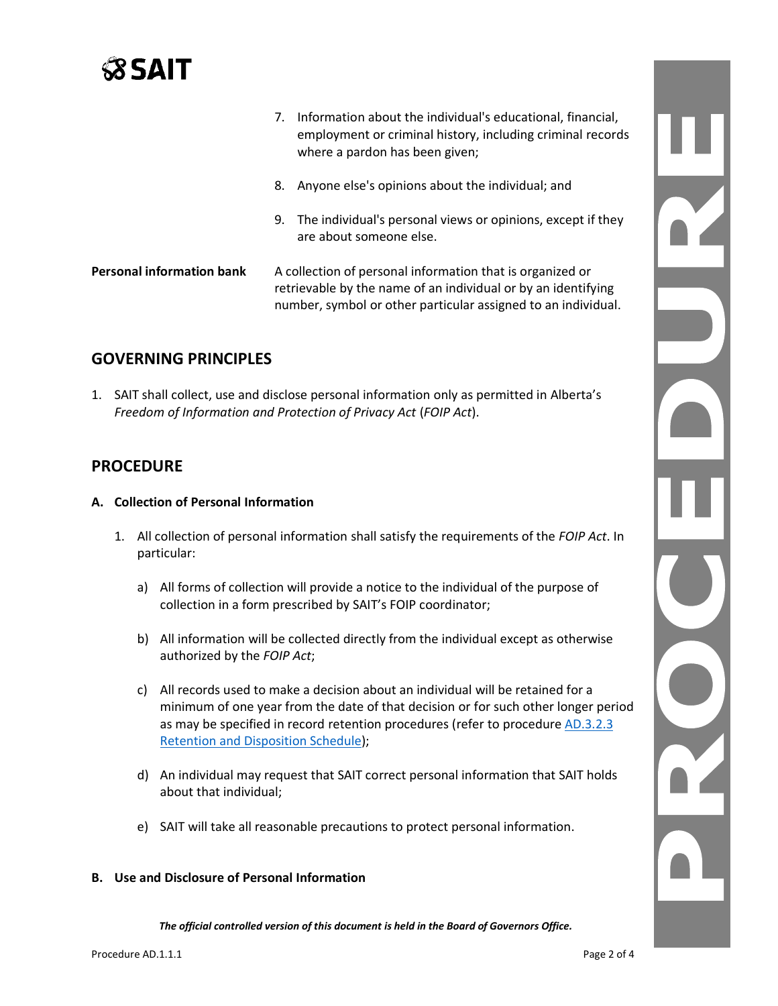

|                                  | 7. | Information about the individual's educational, financial,<br>employment or criminal history, including criminal records<br>where a pardon has been given;                                  |  |
|----------------------------------|----|---------------------------------------------------------------------------------------------------------------------------------------------------------------------------------------------|--|
|                                  | 8. | Anyone else's opinions about the individual; and                                                                                                                                            |  |
|                                  | 9. | The individual's personal views or opinions, except if they<br>are about someone else.                                                                                                      |  |
| <b>Personal information bank</b> |    | A collection of personal information that is organized or<br>retrievable by the name of an individual or by an identifying<br>number, symbol or other particular assigned to an individual. |  |

## **GOVERNING PRINCIPLES**

1. SAIT shall collect, use and disclose personal information only as permitted in Alberta's *Freedom of Information and Protection of Privacy Act* (*FOIP Act*).

## **PROCEDURE**

- **A. Collection of Personal Information**
	- 1. All collection of personal information shall satisfy the requirements of the *FOIP Act*. In particular:
		- a) All forms of collection will provide a notice to the individual of the purpose of collection in a form prescribed by SAIT's FOIP coordinator;
		- b) All information will be collected directly from the individual except as otherwise authorized by the *FOIP Act*;
		- c) All records used to make a decision about an individual will be retained for a minimum of one year from the date of that decision or for such other longer period as may be specified in record retention procedures (refer to procedur[e AD.3.2.3](https://www.sait.ca/assets/documents/about-sait/policies-and-procedures/administration/ad-3-2-3-retention-and-disposition-schedule.pdf)  [Retention and Disposition Schedule\)](https://www.sait.ca/assets/documents/about-sait/policies-and-procedures/administration/ad-3-2-3-retention-and-disposition-schedule.pdf);
		- d) An individual may request that SAIT correct personal information that SAIT holds about that individual;
		- e) SAIT will take all reasonable precautions to protect personal information.

#### **B. Use and Disclosure of Personal Information**

*The official controlled version of this document is held in the Board of Governors Office.*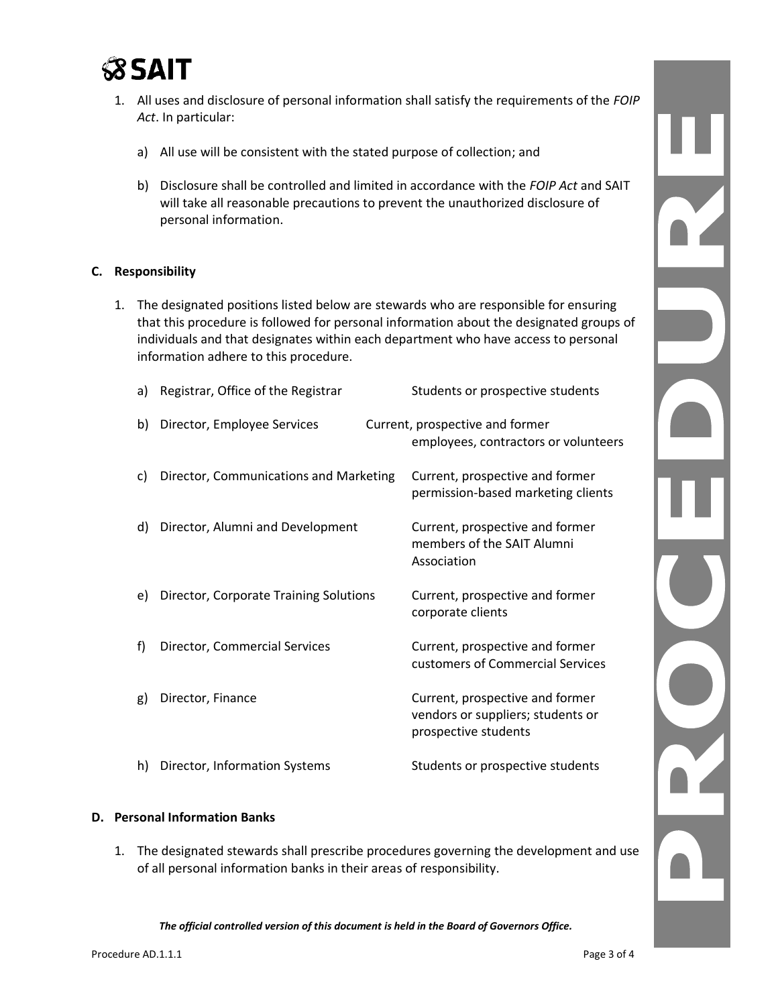

- 1. All uses and disclosure of personal information shall satisfy the requirements of the *FOIP Act*. In particular:
	- a) All use will be consistent with the stated purpose of collection; and
	- b) Disclosure shall be controlled and limited in accordance with the *FOIP Act* and SAIT will take all reasonable precautions to prevent the unauthorized disclosure of personal information.

#### **C. Responsibility**

1. The designated positions listed below are stewards who are responsible for ensuring that this procedure is followed for personal information about the designated groups of individuals and that designates within each department who have access to personal information adhere to this procedure.

| a) | Registrar, Office of the Registrar     | Students or prospective students                                                             |
|----|----------------------------------------|----------------------------------------------------------------------------------------------|
| b) | Director, Employee Services            | Current, prospective and former<br>employees, contractors or volunteers                      |
| C) | Director, Communications and Marketing | Current, prospective and former<br>permission-based marketing clients                        |
| d) | Director, Alumni and Development       | Current, prospective and former<br>members of the SAIT Alumni<br>Association                 |
| e) | Director, Corporate Training Solutions | Current, prospective and former<br>corporate clients                                         |
| f  | Director, Commercial Services          | Current, prospective and former<br>customers of Commercial Services                          |
| g) | Director, Finance                      | Current, prospective and former<br>vendors or suppliers; students or<br>prospective students |
| h) | Director, Information Systems          | Students or prospective students                                                             |

#### **D. Personal Information Banks**

1. The designated stewards shall prescribe procedures governing the development and use of all personal information banks in their areas of responsibility.

*The official controlled version of this document is held in the Board of Governors Office.*